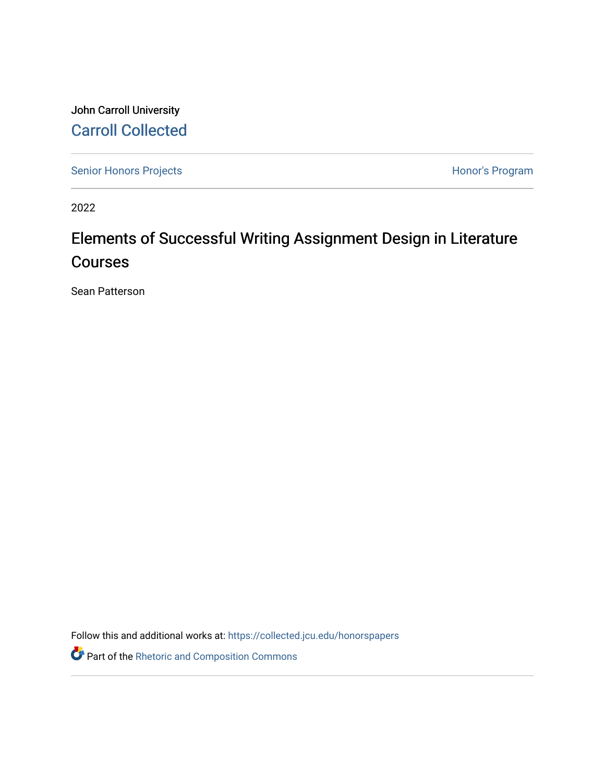John Carroll University [Carroll Collected](https://collected.jcu.edu/) 

[Senior Honors Projects](https://collected.jcu.edu/honorspapers) **Honor's Program** 

2022

# Elements of Successful Writing Assignment Design in Literature Courses

Sean Patterson

Follow this and additional works at: [https://collected.jcu.edu/honorspapers](https://collected.jcu.edu/honorspapers?utm_source=collected.jcu.edu%2Fhonorspapers%2F135&utm_medium=PDF&utm_campaign=PDFCoverPages)

Part of the [Rhetoric and Composition Commons](https://network.bepress.com/hgg/discipline/573?utm_source=collected.jcu.edu%2Fhonorspapers%2F135&utm_medium=PDF&utm_campaign=PDFCoverPages)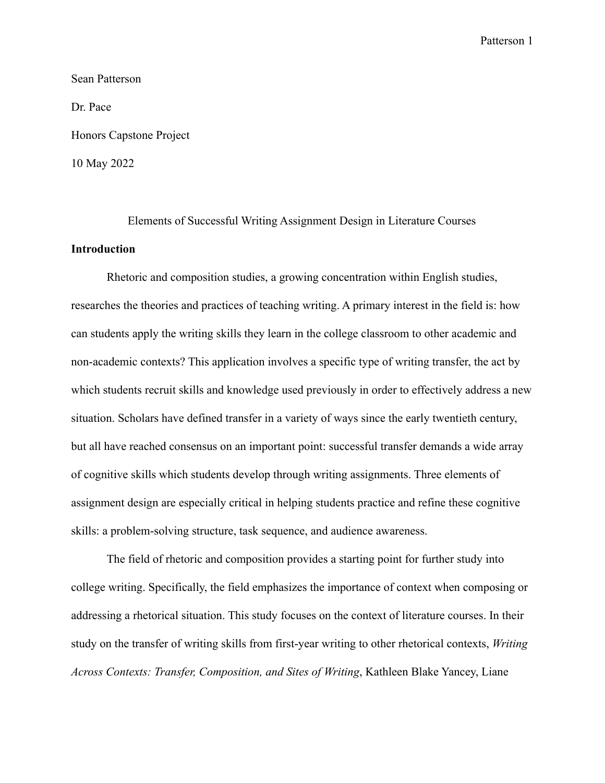Sean Patterson Dr. Pace Honors Capstone Project 10 May 2022

Elements of Successful Writing Assignment Design in Literature Courses **Introduction**

Rhetoric and composition studies, a growing concentration within English studies, researches the theories and practices of teaching writing. A primary interest in the field is: how can students apply the writing skills they learn in the college classroom to other academic and non-academic contexts? This application involves a specific type of writing transfer, the act by which students recruit skills and knowledge used previously in order to effectively address a new situation. Scholars have defined transfer in a variety of ways since the early twentieth century, but all have reached consensus on an important point: successful transfer demands a wide array of cognitive skills which students develop through writing assignments. Three elements of assignment design are especially critical in helping students practice and refine these cognitive skills: a problem-solving structure, task sequence, and audience awareness.

The field of rhetoric and composition provides a starting point for further study into college writing. Specifically, the field emphasizes the importance of context when composing or addressing a rhetorical situation. This study focuses on the context of literature courses. In their study on the transfer of writing skills from first-year writing to other rhetorical contexts, *Writing Across Contexts: Transfer, Composition, and Sites of Writing*, Kathleen Blake Yancey, Liane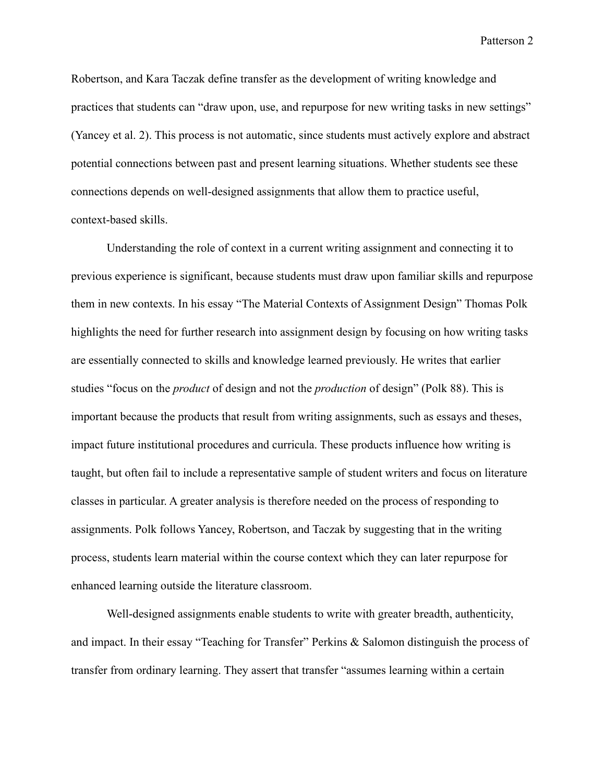Robertson, and Kara Taczak define transfer as the development of writing knowledge and practices that students can "draw upon, use, and repurpose for new writing tasks in new settings" (Yancey et al. 2). This process is not automatic, since students must actively explore and abstract potential connections between past and present learning situations. Whether students see these connections depends on well-designed assignments that allow them to practice useful, context-based skills.

Understanding the role of context in a current writing assignment and connecting it to previous experience is significant, because students must draw upon familiar skills and repurpose them in new contexts. In his essay "The Material Contexts of Assignment Design" Thomas Polk highlights the need for further research into assignment design by focusing on how writing tasks are essentially connected to skills and knowledge learned previously. He writes that earlier studies "focus on the *product* of design and not the *production* of design" (Polk 88). This is important because the products that result from writing assignments, such as essays and theses, impact future institutional procedures and curricula. These products influence how writing is taught, but often fail to include a representative sample of student writers and focus on literature classes in particular. A greater analysis is therefore needed on the process of responding to assignments. Polk follows Yancey, Robertson, and Taczak by suggesting that in the writing process, students learn material within the course context which they can later repurpose for enhanced learning outside the literature classroom.

Well-designed assignments enable students to write with greater breadth, authenticity, and impact. In their essay "Teaching for Transfer" Perkins & Salomon distinguish the process of transfer from ordinary learning. They assert that transfer "assumes learning within a certain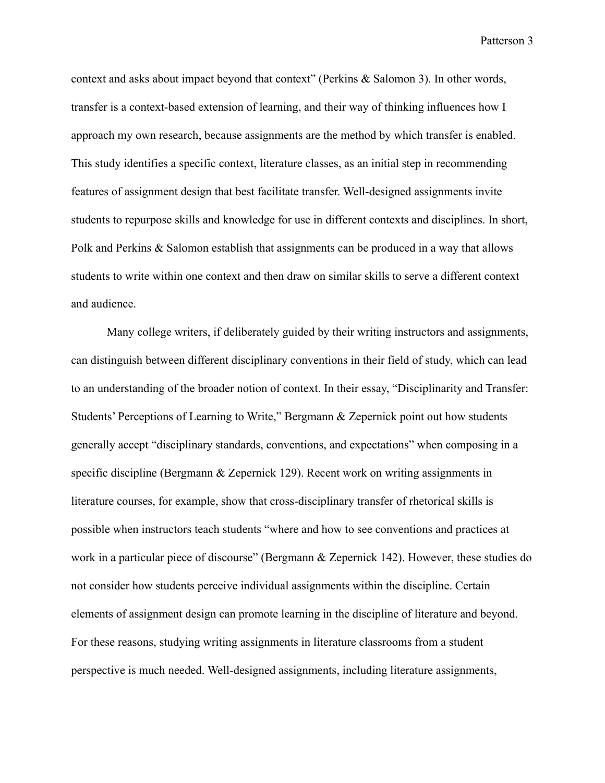context and asks about impact beyond that context" (Perkins & Salomon 3). In other words, transfer is a context-based extension of learning, and their way of thinking influences how I approach my own research, because assignments are the method by which transfer is enabled. This study identifies a specific context, literature classes, as an initial step in recommending features of assignment design that best facilitate transfer. Well-designed assignments invite students to repurpose skills and knowledge for use in different contexts and disciplines. In short, Polk and Perkins & Salomon establish that assignments can be produced in a way that allows students to write within one context and then draw on similar skills to serve a different context and audience.

Many college writers, if deliberately guided by their writing instructors and assignments, can distinguish between different disciplinary conventions in their field of study, which can lead to an understanding of the broader notion of context. In their essay, "Disciplinarity and Transfer: Students' Perceptions of Learning to Write," Bergmann & Zepernick point out how students generally accept "disciplinary standards, conventions, and expectations" when composing in a specific discipline (Bergmann & Zepernick 129). Recent work on writing assignments in literature courses, for example, show that cross-disciplinary transfer of rhetorical skills is possible when instructors teach students "where and how to see conventions and practices at work in a particular piece of discourse" (Bergmann & Zepernick 142). However, these studies do not consider how students perceive individual assignments within the discipline. Certain elements of assignment design can promote learning in the discipline of literature and beyond. For these reasons, studying writing assignments in literature classrooms from a student perspective is much needed. Well-designed assignments, including literature assignments,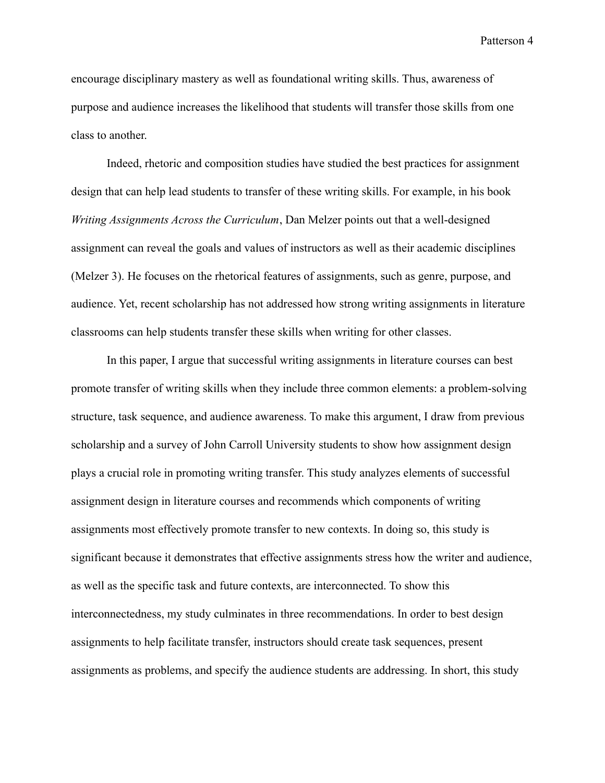encourage disciplinary mastery as well as foundational writing skills. Thus, awareness of purpose and audience increases the likelihood that students will transfer those skills from one class to another.

Indeed, rhetoric and composition studies have studied the best practices for assignment design that can help lead students to transfer of these writing skills. For example, in his book *Writing Assignments Across the Curriculum*, Dan Melzer points out that a well-designed assignment can reveal the goals and values of instructors as well as their academic disciplines (Melzer 3). He focuses on the rhetorical features of assignments, such as genre, purpose, and audience. Yet, recent scholarship has not addressed how strong writing assignments in literature classrooms can help students transfer these skills when writing for other classes.

In this paper, I argue that successful writing assignments in literature courses can best promote transfer of writing skills when they include three common elements: a problem-solving structure, task sequence, and audience awareness. To make this argument, I draw from previous scholarship and a survey of John Carroll University students to show how assignment design plays a crucial role in promoting writing transfer. This study analyzes elements of successful assignment design in literature courses and recommends which components of writing assignments most effectively promote transfer to new contexts. In doing so, this study is significant because it demonstrates that effective assignments stress how the writer and audience, as well as the specific task and future contexts, are interconnected. To show this interconnectedness, my study culminates in three recommendations. In order to best design assignments to help facilitate transfer, instructors should create task sequences, present assignments as problems, and specify the audience students are addressing. In short, this study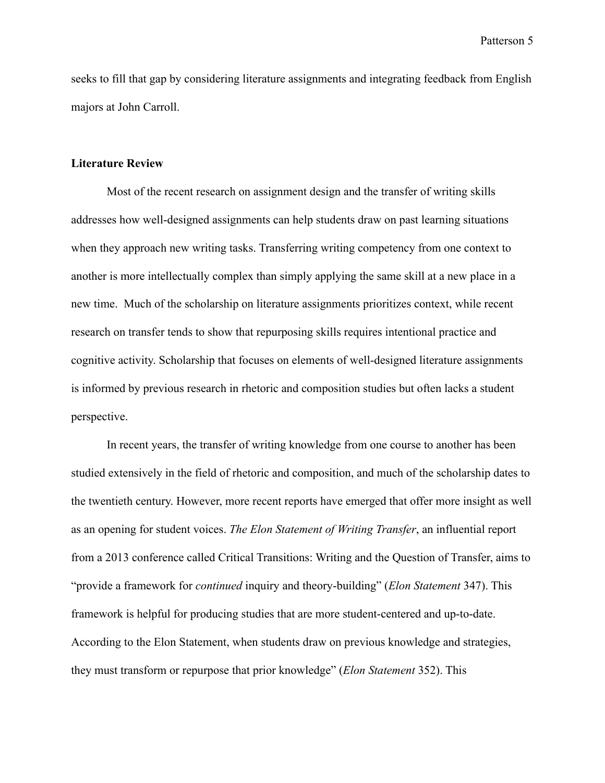seeks to fill that gap by considering literature assignments and integrating feedback from English majors at John Carroll.

## **Literature Review**

Most of the recent research on assignment design and the transfer of writing skills addresses how well-designed assignments can help students draw on past learning situations when they approach new writing tasks. Transferring writing competency from one context to another is more intellectually complex than simply applying the same skill at a new place in a new time. Much of the scholarship on literature assignments prioritizes context, while recent research on transfer tends to show that repurposing skills requires intentional practice and cognitive activity. Scholarship that focuses on elements of well-designed literature assignments is informed by previous research in rhetoric and composition studies but often lacks a student perspective.

In recent years, the transfer of writing knowledge from one course to another has been studied extensively in the field of rhetoric and composition, and much of the scholarship dates to the twentieth century. However, more recent reports have emerged that offer more insight as well as an opening for student voices. *The Elon Statement of Writing Transfer*, an influential report from a 2013 conference called Critical Transitions: Writing and the Question of Transfer, aims to "provide a framework for *continued* inquiry and theory-building" (*Elon Statement* 347). This framework is helpful for producing studies that are more student-centered and up-to-date. According to the Elon Statement, when students draw on previous knowledge and strategies, they must transform or repurpose that prior knowledge" (*Elon Statement* 352). This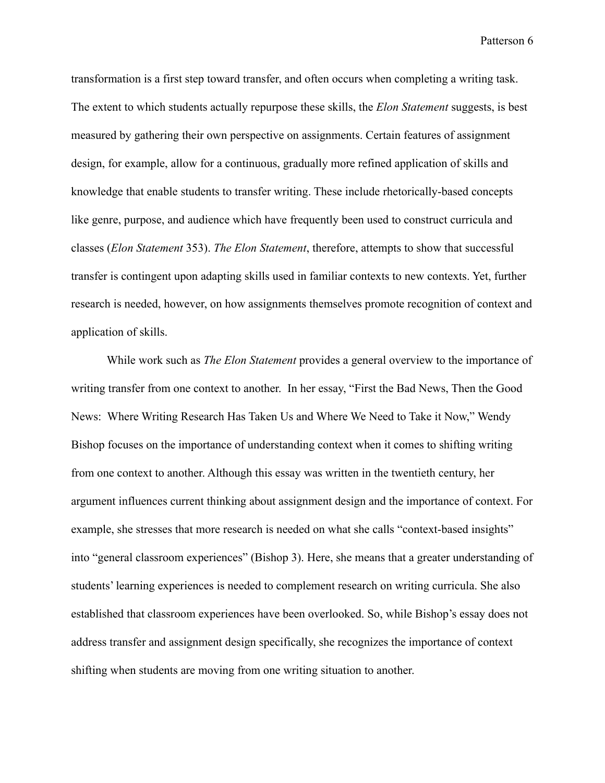transformation is a first step toward transfer, and often occurs when completing a writing task. The extent to which students actually repurpose these skills, the *Elon Statement* suggests, is best measured by gathering their own perspective on assignments. Certain features of assignment design, for example, allow for a continuous, gradually more refined application of skills and knowledge that enable students to transfer writing. These include rhetorically-based concepts like genre, purpose, and audience which have frequently been used to construct curricula and classes (*Elon Statement* 353). *The Elon Statement*, therefore, attempts to show that successful transfer is contingent upon adapting skills used in familiar contexts to new contexts. Yet, further research is needed, however, on how assignments themselves promote recognition of context and application of skills.

While work such as *The Elon Statement* provides a general overview to the importance of writing transfer from one context to another. In her essay, "First the Bad News, Then the Good News: Where Writing Research Has Taken Us and Where We Need to Take it Now," Wendy Bishop focuses on the importance of understanding context when it comes to shifting writing from one context to another. Although this essay was written in the twentieth century, her argument influences current thinking about assignment design and the importance of context. For example, she stresses that more research is needed on what she calls "context-based insights" into "general classroom experiences" (Bishop 3). Here, she means that a greater understanding of students' learning experiences is needed to complement research on writing curricula. She also established that classroom experiences have been overlooked. So, while Bishop's essay does not address transfer and assignment design specifically, she recognizes the importance of context shifting when students are moving from one writing situation to another.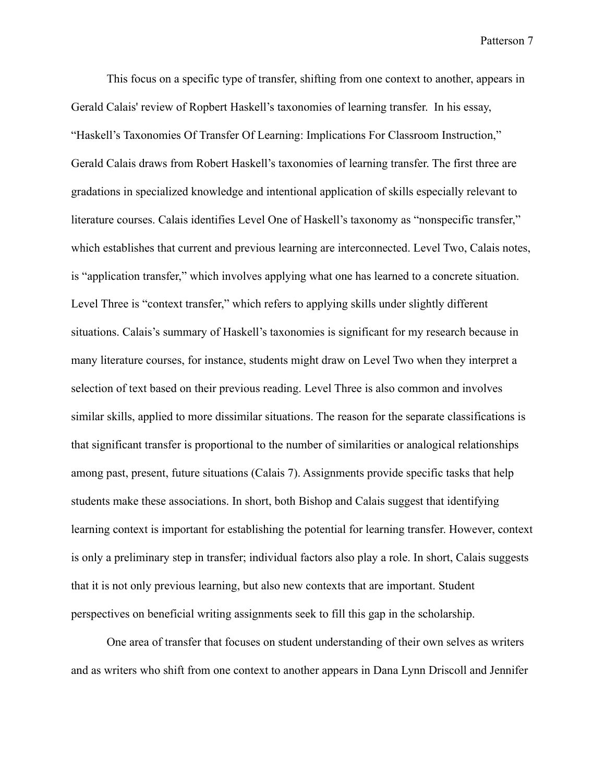This focus on a specific type of transfer, shifting from one context to another, appears in Gerald Calais' review of Ropbert Haskell's taxonomies of learning transfer. In his essay, "Haskell's Taxonomies Of Transfer Of Learning: Implications For Classroom Instruction," Gerald Calais draws from Robert Haskell's taxonomies of learning transfer. The first three are gradations in specialized knowledge and intentional application of skills especially relevant to literature courses. Calais identifies Level One of Haskell's taxonomy as "nonspecific transfer," which establishes that current and previous learning are interconnected. Level Two, Calais notes, is "application transfer," which involves applying what one has learned to a concrete situation. Level Three is "context transfer," which refers to applying skills under slightly different situations. Calais's summary of Haskell's taxonomies is significant for my research because in many literature courses, for instance, students might draw on Level Two when they interpret a selection of text based on their previous reading. Level Three is also common and involves similar skills, applied to more dissimilar situations. The reason for the separate classifications is that significant transfer is proportional to the number of similarities or analogical relationships among past, present, future situations (Calais 7). Assignments provide specific tasks that help students make these associations. In short, both Bishop and Calais suggest that identifying learning context is important for establishing the potential for learning transfer. However, context is only a preliminary step in transfer; individual factors also play a role. In short, Calais suggests that it is not only previous learning, but also new contexts that are important. Student perspectives on beneficial writing assignments seek to fill this gap in the scholarship.

One area of transfer that focuses on student understanding of their own selves as writers and as writers who shift from one context to another appears in Dana Lynn Driscoll and Jennifer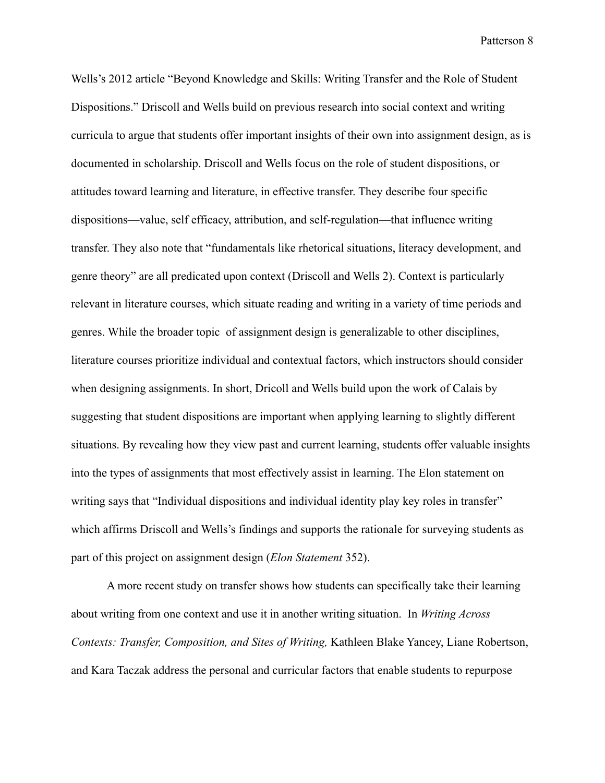Wells's 2012 article "Beyond Knowledge and Skills: Writing Transfer and the Role of Student Dispositions." Driscoll and Wells build on previous research into social context and writing curricula to argue that students offer important insights of their own into assignment design, as is documented in scholarship. Driscoll and Wells focus on the role of student dispositions, or attitudes toward learning and literature, in effective transfer. They describe four specific dispositions—value, self efficacy, attribution, and self-regulation—that influence writing transfer. They also note that "fundamentals like rhetorical situations, literacy development, and genre theory" are all predicated upon context (Driscoll and Wells 2). Context is particularly relevant in literature courses, which situate reading and writing in a variety of time periods and genres. While the broader topic of assignment design is generalizable to other disciplines, literature courses prioritize individual and contextual factors, which instructors should consider when designing assignments. In short, Dricoll and Wells build upon the work of Calais by suggesting that student dispositions are important when applying learning to slightly different situations. By revealing how they view past and current learning, students offer valuable insights into the types of assignments that most effectively assist in learning. The Elon statement on writing says that "Individual dispositions and individual identity play key roles in transfer" which affirms Driscoll and Wells's findings and supports the rationale for surveying students as part of this project on assignment design (*Elon Statement* 352).

A more recent study on transfer shows how students can specifically take their learning about writing from one context and use it in another writing situation. In *Writing Across Contexts: Transfer, Composition, and Sites of Writing,* Kathleen Blake Yancey, Liane Robertson, and Kara Taczak address the personal and curricular factors that enable students to repurpose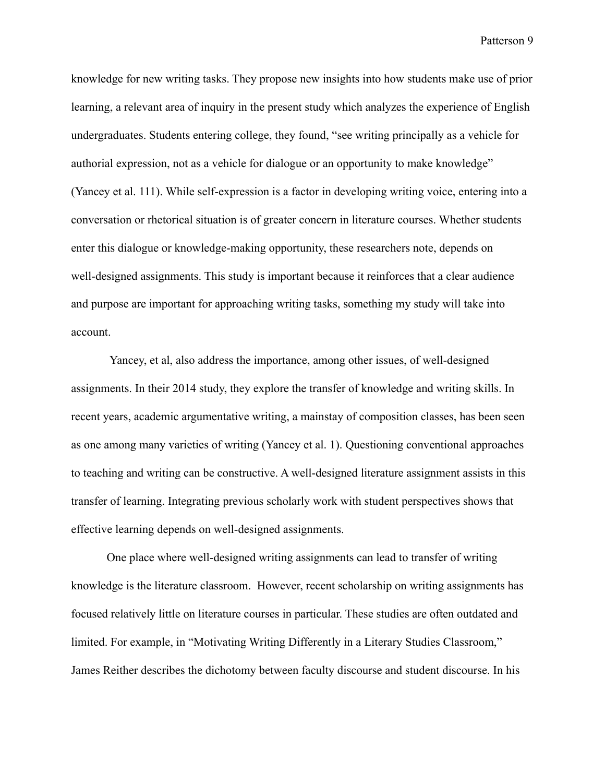knowledge for new writing tasks. They propose new insights into how students make use of prior learning, a relevant area of inquiry in the present study which analyzes the experience of English undergraduates. Students entering college, they found, "see writing principally as a vehicle for authorial expression, not as a vehicle for dialogue or an opportunity to make knowledge" (Yancey et al. 111). While self-expression is a factor in developing writing voice, entering into a conversation or rhetorical situation is of greater concern in literature courses. Whether students enter this dialogue or knowledge-making opportunity, these researchers note, depends on well-designed assignments. This study is important because it reinforces that a clear audience and purpose are important for approaching writing tasks, something my study will take into account.

Yancey, et al, also address the importance, among other issues, of well-designed assignments. In their 2014 study, they explore the transfer of knowledge and writing skills. In recent years, academic argumentative writing, a mainstay of composition classes, has been seen as one among many varieties of writing (Yancey et al. 1). Questioning conventional approaches to teaching and writing can be constructive. A well-designed literature assignment assists in this transfer of learning. Integrating previous scholarly work with student perspectives shows that effective learning depends on well-designed assignments.

One place where well-designed writing assignments can lead to transfer of writing knowledge is the literature classroom. However, recent scholarship on writing assignments has focused relatively little on literature courses in particular. These studies are often outdated and limited. For example, in "Motivating Writing Differently in a Literary Studies Classroom," James Reither describes the dichotomy between faculty discourse and student discourse. In his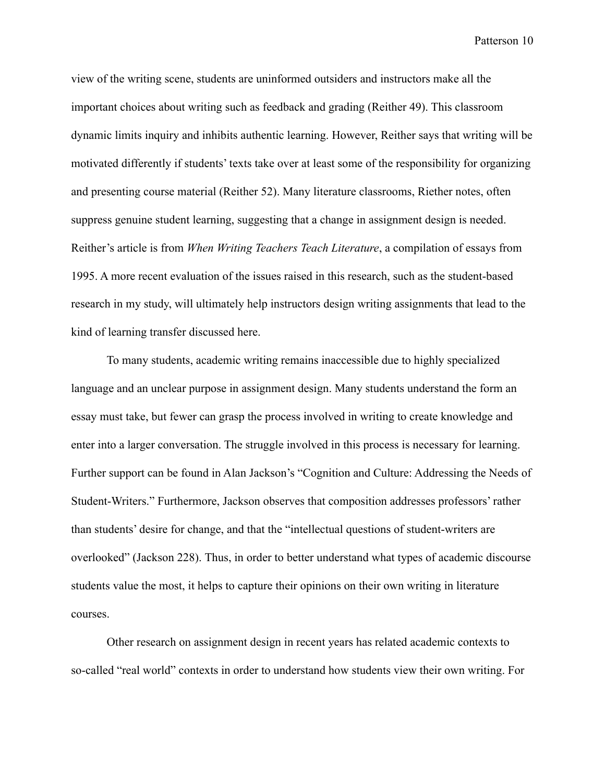view of the writing scene, students are uninformed outsiders and instructors make all the important choices about writing such as feedback and grading (Reither 49). This classroom dynamic limits inquiry and inhibits authentic learning. However, Reither says that writing will be motivated differently if students' texts take over at least some of the responsibility for organizing and presenting course material (Reither 52). Many literature classrooms, Riether notes, often suppress genuine student learning, suggesting that a change in assignment design is needed. Reither's article is from *When Writing Teachers Teach Literature*, a compilation of essays from 1995. A more recent evaluation of the issues raised in this research, such as the student-based research in my study, will ultimately help instructors design writing assignments that lead to the kind of learning transfer discussed here.

To many students, academic writing remains inaccessible due to highly specialized language and an unclear purpose in assignment design. Many students understand the form an essay must take, but fewer can grasp the process involved in writing to create knowledge and enter into a larger conversation. The struggle involved in this process is necessary for learning. Further support can be found in Alan Jackson's "Cognition and Culture: Addressing the Needs of Student-Writers." Furthermore, Jackson observes that composition addresses professors' rather than students' desire for change, and that the "intellectual questions of student-writers are overlooked" (Jackson 228). Thus, in order to better understand what types of academic discourse students value the most, it helps to capture their opinions on their own writing in literature courses.

Other research on assignment design in recent years has related academic contexts to so-called "real world" contexts in order to understand how students view their own writing. For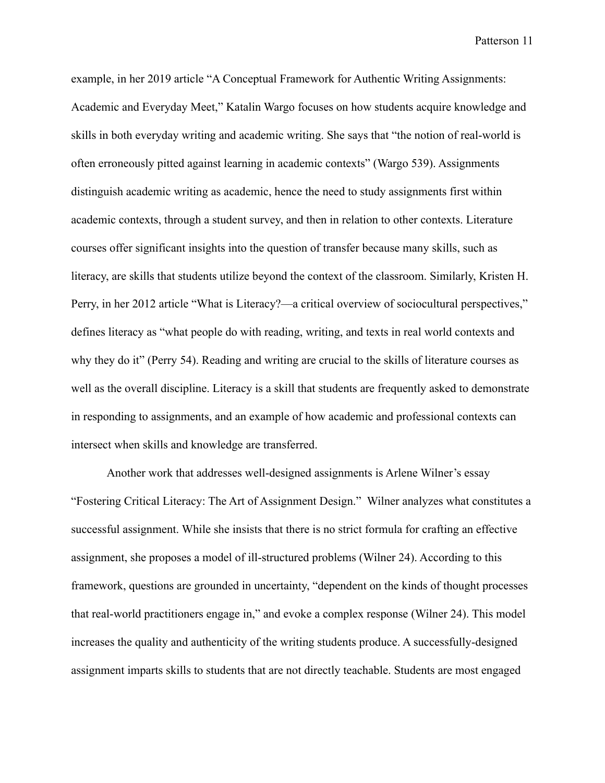example, in her 2019 article "A Conceptual Framework for Authentic Writing Assignments: Academic and Everyday Meet," Katalin Wargo focuses on how students acquire knowledge and skills in both everyday writing and academic writing. She says that "the notion of real-world is often erroneously pitted against learning in academic contexts" (Wargo 539). Assignments distinguish academic writing as academic, hence the need to study assignments first within academic contexts, through a student survey, and then in relation to other contexts. Literature courses offer significant insights into the question of transfer because many skills, such as literacy, are skills that students utilize beyond the context of the classroom. Similarly, Kristen H. Perry, in her 2012 article "What is Literacy?—a critical overview of sociocultural perspectives," defines literacy as "what people do with reading, writing, and texts in real world contexts and why they do it" (Perry 54). Reading and writing are crucial to the skills of literature courses as well as the overall discipline. Literacy is a skill that students are frequently asked to demonstrate in responding to assignments, and an example of how academic and professional contexts can intersect when skills and knowledge are transferred.

Another work that addresses well-designed assignments is Arlene Wilner's essay "Fostering Critical Literacy: The Art of Assignment Design." Wilner analyzes what constitutes a successful assignment. While she insists that there is no strict formula for crafting an effective assignment, she proposes a model of ill-structured problems (Wilner 24). According to this framework, questions are grounded in uncertainty, "dependent on the kinds of thought processes that real-world practitioners engage in," and evoke a complex response (Wilner 24). This model increases the quality and authenticity of the writing students produce. A successfully-designed assignment imparts skills to students that are not directly teachable. Students are most engaged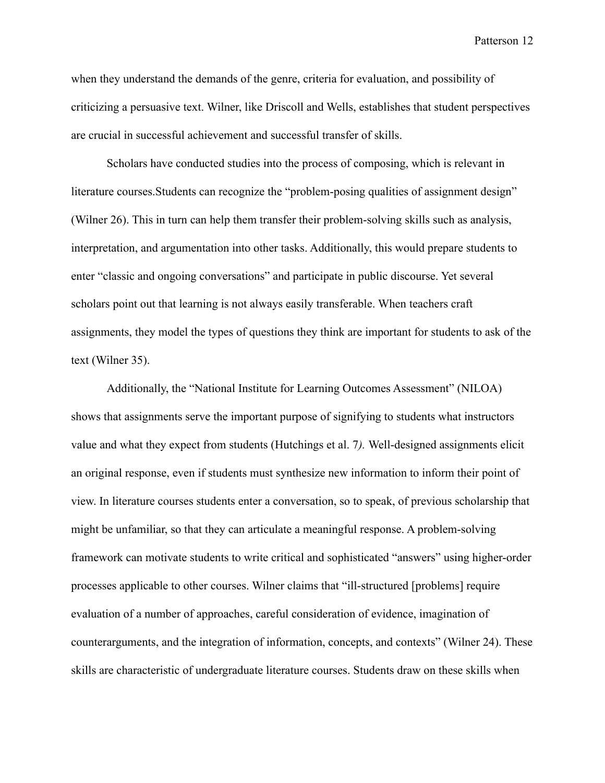when they understand the demands of the genre, criteria for evaluation, and possibility of criticizing a persuasive text. Wilner, like Driscoll and Wells, establishes that student perspectives are crucial in successful achievement and successful transfer of skills.

Scholars have conducted studies into the process of composing, which is relevant in literature courses.Students can recognize the "problem-posing qualities of assignment design" (Wilner 26). This in turn can help them transfer their problem-solving skills such as analysis, interpretation, and argumentation into other tasks. Additionally, this would prepare students to enter "classic and ongoing conversations" and participate in public discourse. Yet several scholars point out that learning is not always easily transferable. When teachers craft assignments, they model the types of questions they think are important for students to ask of the text (Wilner 35).

Additionally, the "National Institute for Learning Outcomes Assessment" (NILOA) shows that assignments serve the important purpose of signifying to students what instructors value and what they expect from students (Hutchings et al. 7*).* Well-designed assignments elicit an original response, even if students must synthesize new information to inform their point of view. In literature courses students enter a conversation, so to speak, of previous scholarship that might be unfamiliar, so that they can articulate a meaningful response. A problem-solving framework can motivate students to write critical and sophisticated "answers" using higher-order processes applicable to other courses. Wilner claims that "ill-structured [problems] require evaluation of a number of approaches, careful consideration of evidence, imagination of counterarguments, and the integration of information, concepts, and contexts" (Wilner 24). These skills are characteristic of undergraduate literature courses. Students draw on these skills when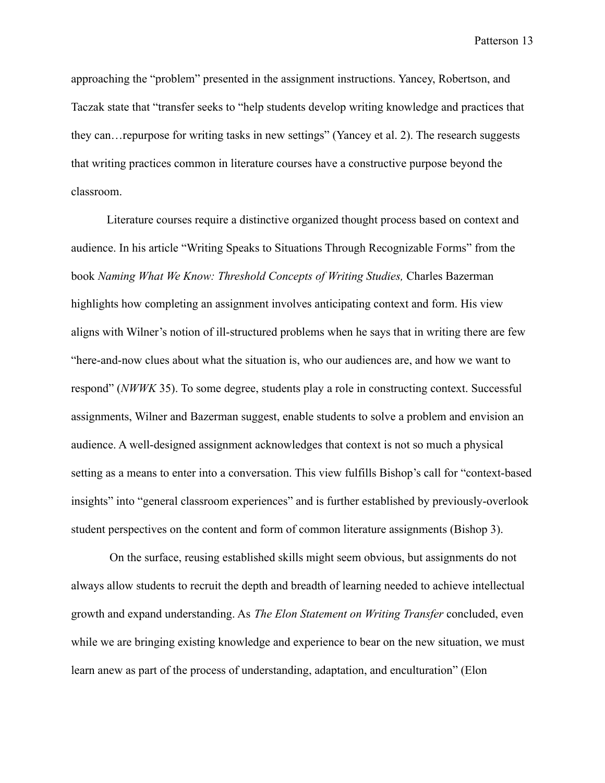approaching the "problem" presented in the assignment instructions. Yancey, Robertson, and Taczak state that "transfer seeks to "help students develop writing knowledge and practices that they can…repurpose for writing tasks in new settings" (Yancey et al. 2). The research suggests that writing practices common in literature courses have a constructive purpose beyond the classroom.

Literature courses require a distinctive organized thought process based on context and audience. In his article "Writing Speaks to Situations Through Recognizable Forms" from the book *Naming What We Know: Threshold Concepts of Writing Studies,* Charles Bazerman highlights how completing an assignment involves anticipating context and form. His view aligns with Wilner's notion of ill-structured problems when he says that in writing there are few "here-and-now clues about what the situation is, who our audiences are, and how we want to respond" (*NWWK* 35). To some degree, students play a role in constructing context. Successful assignments, Wilner and Bazerman suggest, enable students to solve a problem and envision an audience. A well-designed assignment acknowledges that context is not so much a physical setting as a means to enter into a conversation. This view fulfills Bishop's call for "context-based insights" into "general classroom experiences" and is further established by previously-overlook student perspectives on the content and form of common literature assignments (Bishop 3).

On the surface, reusing established skills might seem obvious, but assignments do not always allow students to recruit the depth and breadth of learning needed to achieve intellectual growth and expand understanding. As *The Elon Statement on Writing Transfer* concluded, even while we are bringing existing knowledge and experience to bear on the new situation, we must learn anew as part of the process of understanding, adaptation, and enculturation" (Elon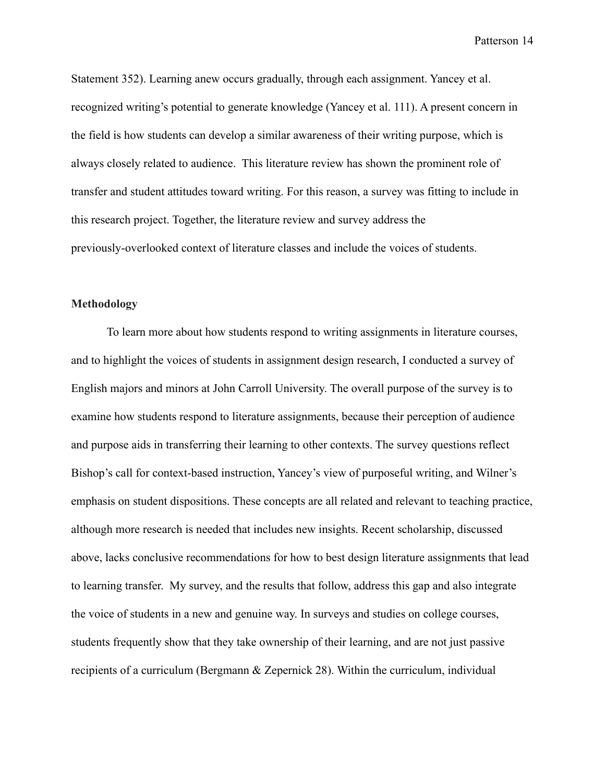Statement 352). Learning anew occurs gradually, through each assignment. Yancey et al. recognized writing's potential to generate knowledge (Yancey et al. 111). A present concern in the field is how students can develop a similar awareness of their writing purpose, which is always closely related to audience. This literature review has shown the prominent role of transfer and student attitudes toward writing. For this reason, a survey was fitting to include in this research project. Together, the literature review and survey address the previously-overlooked context of literature classes and include the voices of students.

## **Methodology**

To learn more about how students respond to writing assignments in literature courses, and to highlight the voices of students in assignment design research, I conducted a survey of English majors and minors at John Carroll University. The overall purpose of the survey is to examine how students respond to literature assignments, because their perception of audience and purpose aids in transferring their learning to other contexts. The survey questions reflect Bishop's call for context-based instruction, Yancey's view of purposeful writing, and Wilner's emphasis on student dispositions. These concepts are all related and relevant to teaching practice, although more research is needed that includes new insights. Recent scholarship, discussed above, lacks conclusive recommendations for how to best design literature assignments that lead to learning transfer. My survey, and the results that follow, address this gap and also integrate the voice of students in a new and genuine way. In surveys and studies on college courses, students frequently show that they take ownership of their learning, and are not just passive recipients of a curriculum (Bergmann & Zepernick 28). Within the curriculum, individual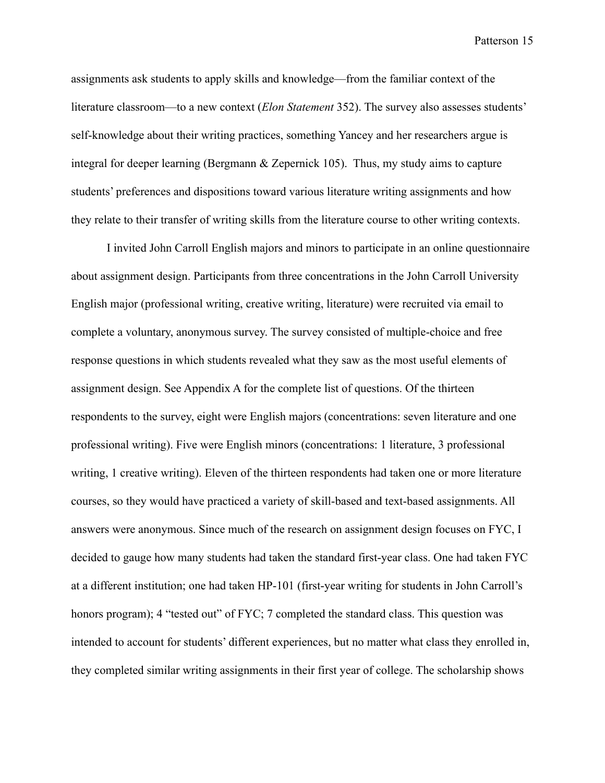assignments ask students to apply skills and knowledge—from the familiar context of the literature classroom—to a new context (*Elon Statement* 352). The survey also assesses students' self-knowledge about their writing practices, something Yancey and her researchers argue is integral for deeper learning (Bergmann & Zepernick 105). Thus, my study aims to capture students' preferences and dispositions toward various literature writing assignments and how they relate to their transfer of writing skills from the literature course to other writing contexts.

I invited John Carroll English majors and minors to participate in an online questionnaire about assignment design. Participants from three concentrations in the John Carroll University English major (professional writing, creative writing, literature) were recruited via email to complete a voluntary, anonymous survey. The survey consisted of multiple-choice and free response questions in which students revealed what they saw as the most useful elements of assignment design. See Appendix A for the complete list of questions. Of the thirteen respondents to the survey, eight were English majors (concentrations: seven literature and one professional writing). Five were English minors (concentrations: 1 literature, 3 professional writing, 1 creative writing). Eleven of the thirteen respondents had taken one or more literature courses, so they would have practiced a variety of skill-based and text-based assignments. All answers were anonymous. Since much of the research on assignment design focuses on FYC, I decided to gauge how many students had taken the standard first-year class. One had taken FYC at a different institution; one had taken HP-101 (first-year writing for students in John Carroll's honors program); 4 "tested out" of FYC; 7 completed the standard class. This question was intended to account for students' different experiences, but no matter what class they enrolled in, they completed similar writing assignments in their first year of college. The scholarship shows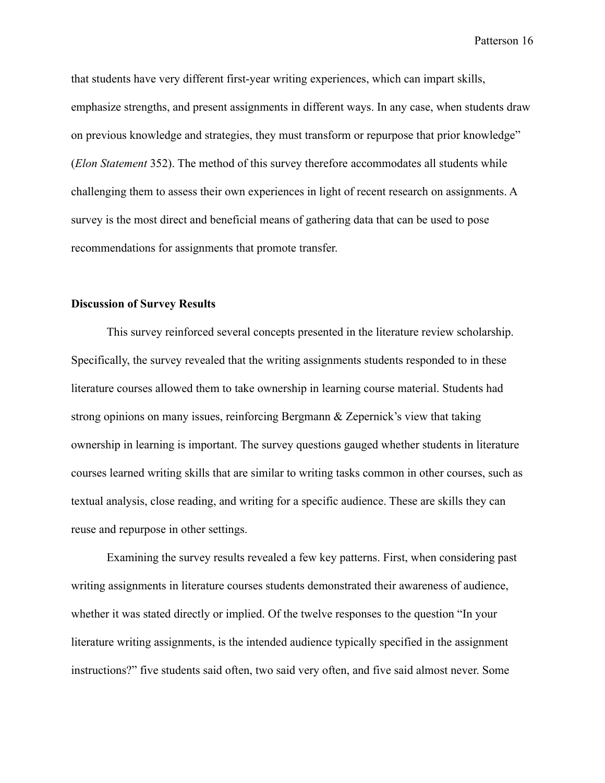that students have very different first-year writing experiences, which can impart skills, emphasize strengths, and present assignments in different ways. In any case, when students draw on previous knowledge and strategies, they must transform or repurpose that prior knowledge" (*Elon Statement* 352). The method of this survey therefore accommodates all students while challenging them to assess their own experiences in light of recent research on assignments. A survey is the most direct and beneficial means of gathering data that can be used to pose recommendations for assignments that promote transfer.

## **Discussion of Survey Results**

This survey reinforced several concepts presented in the literature review scholarship. Specifically, the survey revealed that the writing assignments students responded to in these literature courses allowed them to take ownership in learning course material. Students had strong opinions on many issues, reinforcing Bergmann & Zepernick's view that taking ownership in learning is important. The survey questions gauged whether students in literature courses learned writing skills that are similar to writing tasks common in other courses, such as textual analysis, close reading, and writing for a specific audience. These are skills they can reuse and repurpose in other settings.

Examining the survey results revealed a few key patterns. First, when considering past writing assignments in literature courses students demonstrated their awareness of audience, whether it was stated directly or implied. Of the twelve responses to the question "In your literature writing assignments, is the intended audience typically specified in the assignment instructions?" five students said often, two said very often, and five said almost never. Some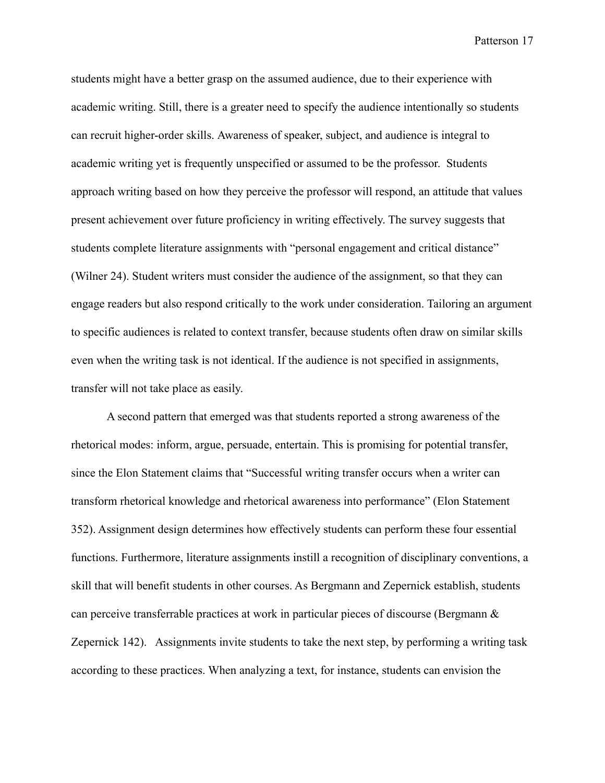students might have a better grasp on the assumed audience, due to their experience with academic writing. Still, there is a greater need to specify the audience intentionally so students can recruit higher-order skills. Awareness of speaker, subject, and audience is integral to academic writing yet is frequently unspecified or assumed to be the professor. Students approach writing based on how they perceive the professor will respond, an attitude that values present achievement over future proficiency in writing effectively. The survey suggests that students complete literature assignments with "personal engagement and critical distance" (Wilner 24). Student writers must consider the audience of the assignment, so that they can engage readers but also respond critically to the work under consideration. Tailoring an argument to specific audiences is related to context transfer, because students often draw on similar skills even when the writing task is not identical. If the audience is not specified in assignments, transfer will not take place as easily.

A second pattern that emerged was that students reported a strong awareness of the rhetorical modes: inform, argue, persuade, entertain. This is promising for potential transfer, since the Elon Statement claims that "Successful writing transfer occurs when a writer can transform rhetorical knowledge and rhetorical awareness into performance" (Elon Statement 352). Assignment design determines how effectively students can perform these four essential functions. Furthermore, literature assignments instill a recognition of disciplinary conventions, a skill that will benefit students in other courses. As Bergmann and Zepernick establish, students can perceive transferrable practices at work in particular pieces of discourse (Bergmann & Zepernick 142). Assignments invite students to take the next step, by performing a writing task according to these practices. When analyzing a text, for instance, students can envision the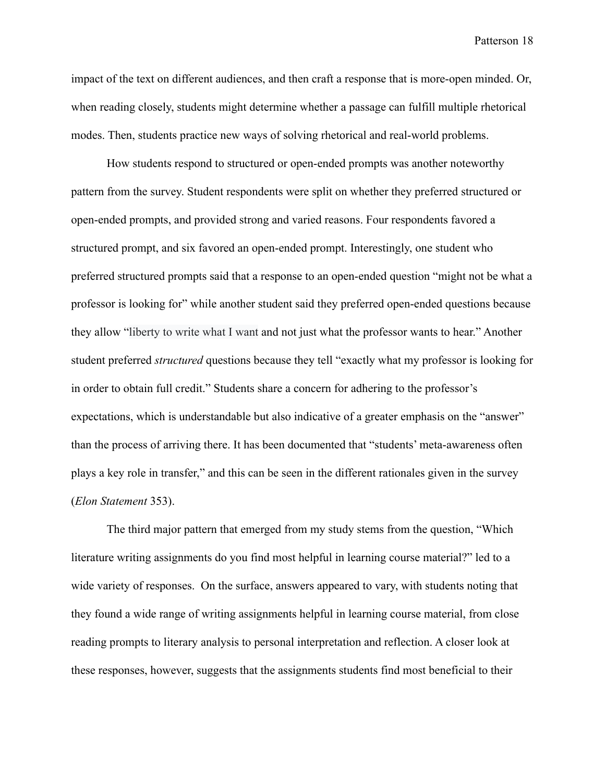impact of the text on different audiences, and then craft a response that is more-open minded. Or, when reading closely, students might determine whether a passage can fulfill multiple rhetorical modes. Then, students practice new ways of solving rhetorical and real-world problems.

How students respond to structured or open-ended prompts was another noteworthy pattern from the survey. Student respondents were split on whether they preferred structured or open-ended prompts, and provided strong and varied reasons. Four respondents favored a structured prompt, and six favored an open-ended prompt. Interestingly, one student who preferred structured prompts said that a response to an open-ended question "might not be what a professor is looking for" while another student said they preferred open-ended questions because they allow "liberty to write what I want and not just what the professor wants to hear." Another student preferred *structured* questions because they tell "exactly what my professor is looking for in order to obtain full credit." Students share a concern for adhering to the professor's expectations, which is understandable but also indicative of a greater emphasis on the "answer" than the process of arriving there. It has been documented that "students' meta-awareness often plays a key role in transfer," and this can be seen in the different rationales given in the survey (*Elon Statement* 353).

The third major pattern that emerged from my study stems from the question, "Which literature writing assignments do you find most helpful in learning course material?" led to a wide variety of responses. On the surface, answers appeared to vary, with students noting that they found a wide range of writing assignments helpful in learning course material, from close reading prompts to literary analysis to personal interpretation and reflection. A closer look at these responses, however, suggests that the assignments students find most beneficial to their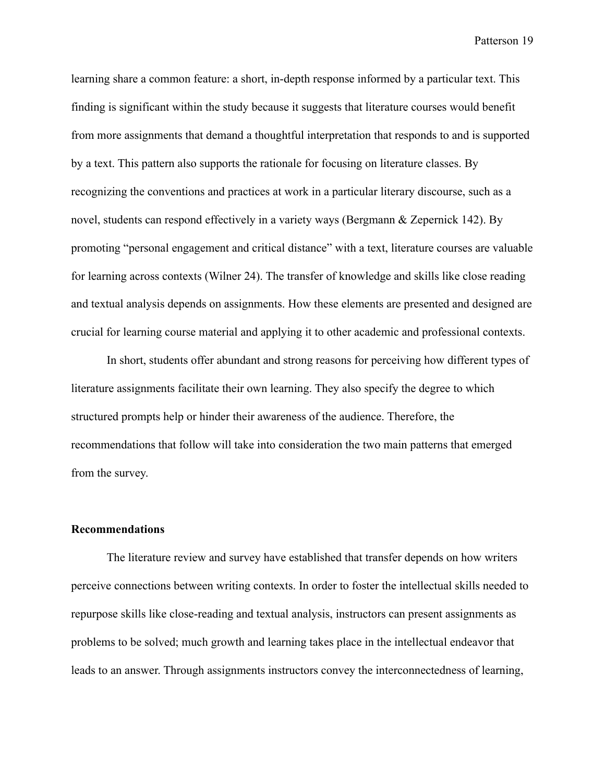learning share a common feature: a short, in-depth response informed by a particular text. This finding is significant within the study because it suggests that literature courses would benefit from more assignments that demand a thoughtful interpretation that responds to and is supported by a text. This pattern also supports the rationale for focusing on literature classes. By recognizing the conventions and practices at work in a particular literary discourse, such as a novel, students can respond effectively in a variety ways (Bergmann & Zepernick 142). By promoting "personal engagement and critical distance" with a text, literature courses are valuable for learning across contexts (Wilner 24). The transfer of knowledge and skills like close reading and textual analysis depends on assignments. How these elements are presented and designed are crucial for learning course material and applying it to other academic and professional contexts.

In short, students offer abundant and strong reasons for perceiving how different types of literature assignments facilitate their own learning. They also specify the degree to which structured prompts help or hinder their awareness of the audience. Therefore, the recommendations that follow will take into consideration the two main patterns that emerged from the survey.

#### **Recommendations**

The literature review and survey have established that transfer depends on how writers perceive connections between writing contexts. In order to foster the intellectual skills needed to repurpose skills like close-reading and textual analysis, instructors can present assignments as problems to be solved; much growth and learning takes place in the intellectual endeavor that leads to an answer. Through assignments instructors convey the interconnectedness of learning,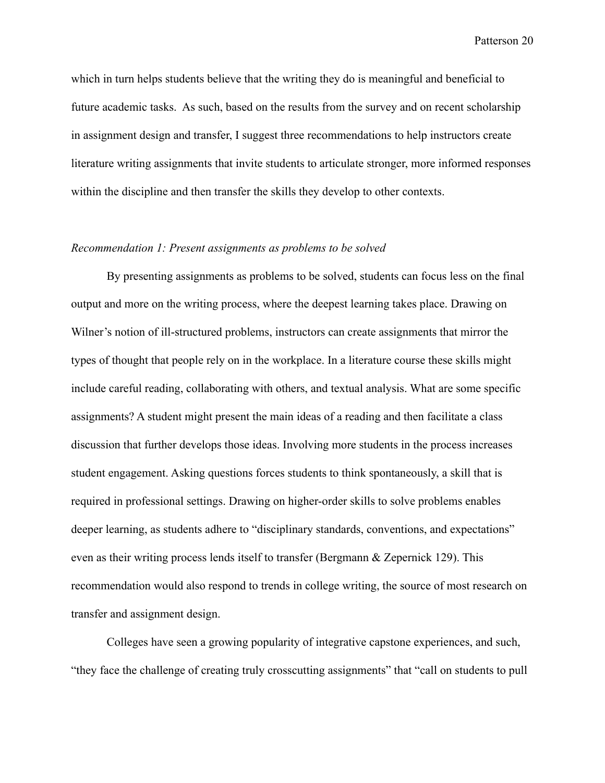which in turn helps students believe that the writing they do is meaningful and beneficial to future academic tasks. As such, based on the results from the survey and on recent scholarship in assignment design and transfer, I suggest three recommendations to help instructors create literature writing assignments that invite students to articulate stronger, more informed responses within the discipline and then transfer the skills they develop to other contexts.

## *Recommendation 1: Present assignments as problems to be solved*

By presenting assignments as problems to be solved, students can focus less on the final output and more on the writing process, where the deepest learning takes place. Drawing on Wilner's notion of ill-structured problems, instructors can create assignments that mirror the types of thought that people rely on in the workplace. In a literature course these skills might include careful reading, collaborating with others, and textual analysis. What are some specific assignments? A student might present the main ideas of a reading and then facilitate a class discussion that further develops those ideas. Involving more students in the process increases student engagement. Asking questions forces students to think spontaneously, a skill that is required in professional settings. Drawing on higher-order skills to solve problems enables deeper learning, as students adhere to "disciplinary standards, conventions, and expectations" even as their writing process lends itself to transfer (Bergmann & Zepernick 129). This recommendation would also respond to trends in college writing, the source of most research on transfer and assignment design.

Colleges have seen a growing popularity of integrative capstone experiences, and such, "they face the challenge of creating truly crosscutting assignments" that "call on students to pull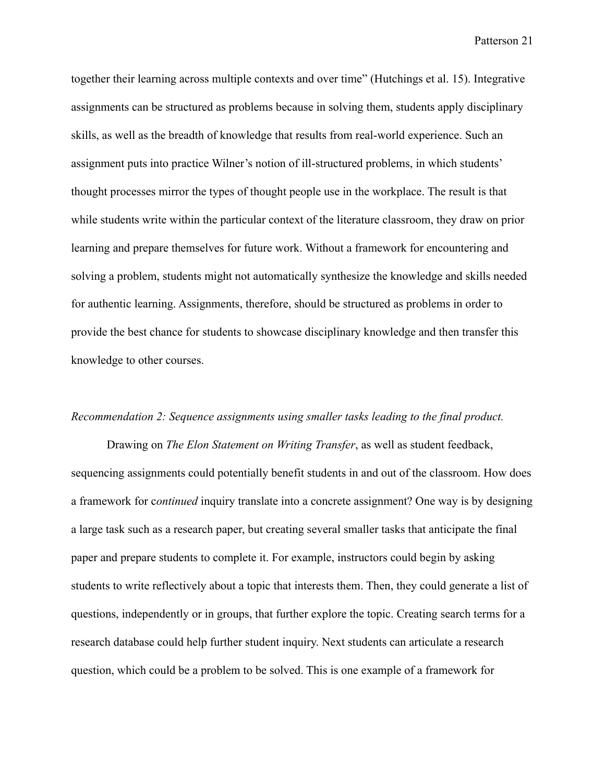together their learning across multiple contexts and over time" (Hutchings et al. 15). Integrative assignments can be structured as problems because in solving them, students apply disciplinary skills, as well as the breadth of knowledge that results from real-world experience. Such an assignment puts into practice Wilner's notion of ill-structured problems, in which students' thought processes mirror the types of thought people use in the workplace. The result is that while students write within the particular context of the literature classroom, they draw on prior learning and prepare themselves for future work. Without a framework for encountering and solving a problem, students might not automatically synthesize the knowledge and skills needed for authentic learning. Assignments, therefore, should be structured as problems in order to provide the best chance for students to showcase disciplinary knowledge and then transfer this knowledge to other courses.

#### *Recommendation 2: Sequence assignments using smaller tasks leading to the final product.*

Drawing on *The Elon Statement on Writing Transfer*, as well as student feedback, sequencing assignments could potentially benefit students in and out of the classroom. How does a framework for c*ontinued* inquiry translate into a concrete assignment? One way is by designing a large task such as a research paper, but creating several smaller tasks that anticipate the final paper and prepare students to complete it. For example, instructors could begin by asking students to write reflectively about a topic that interests them. Then, they could generate a list of questions, independently or in groups, that further explore the topic. Creating search terms for a research database could help further student inquiry. Next students can articulate a research question, which could be a problem to be solved. This is one example of a framework for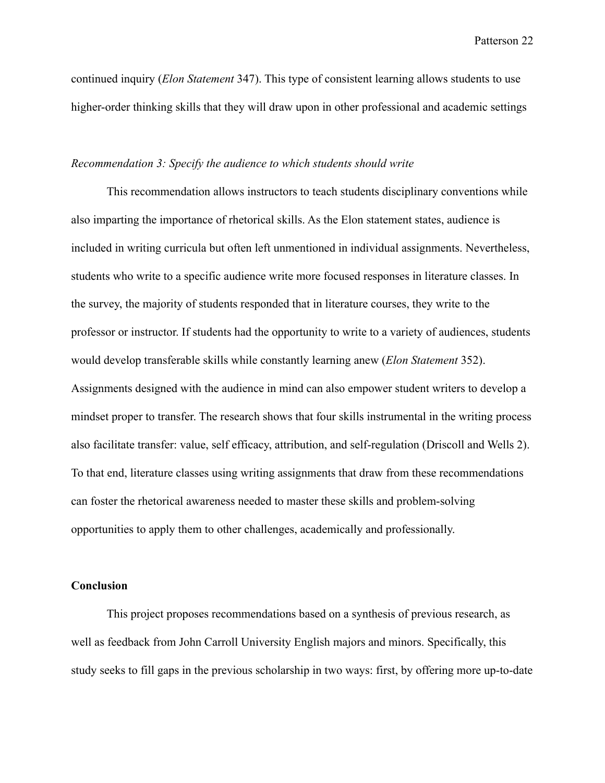continued inquiry (*Elon Statement* 347). This type of consistent learning allows students to use higher-order thinking skills that they will draw upon in other professional and academic settings

## *Recommendation 3: Specify the audience to which students should write*

This recommendation allows instructors to teach students disciplinary conventions while also imparting the importance of rhetorical skills. As the Elon statement states, audience is included in writing curricula but often left unmentioned in individual assignments. Nevertheless, students who write to a specific audience write more focused responses in literature classes. In the survey, the majority of students responded that in literature courses, they write to the professor or instructor. If students had the opportunity to write to a variety of audiences, students would develop transferable skills while constantly learning anew (*Elon Statement* 352). Assignments designed with the audience in mind can also empower student writers to develop a mindset proper to transfer. The research shows that four skills instrumental in the writing process also facilitate transfer: value, self efficacy, attribution, and self-regulation (Driscoll and Wells 2). To that end, literature classes using writing assignments that draw from these recommendations can foster the rhetorical awareness needed to master these skills and problem-solving opportunities to apply them to other challenges, academically and professionally.

## **Conclusion**

This project proposes recommendations based on a synthesis of previous research, as well as feedback from John Carroll University English majors and minors. Specifically, this study seeks to fill gaps in the previous scholarship in two ways: first, by offering more up-to-date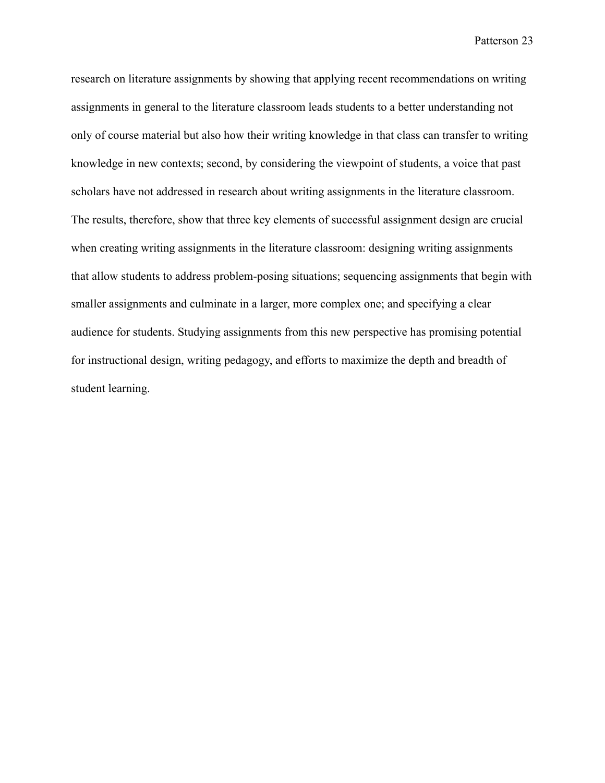research on literature assignments by showing that applying recent recommendations on writing assignments in general to the literature classroom leads students to a better understanding not only of course material but also how their writing knowledge in that class can transfer to writing knowledge in new contexts; second, by considering the viewpoint of students, a voice that past scholars have not addressed in research about writing assignments in the literature classroom. The results, therefore, show that three key elements of successful assignment design are crucial when creating writing assignments in the literature classroom: designing writing assignments that allow students to address problem-posing situations; sequencing assignments that begin with smaller assignments and culminate in a larger, more complex one; and specifying a clear audience for students. Studying assignments from this new perspective has promising potential for instructional design, writing pedagogy, and efforts to maximize the depth and breadth of student learning.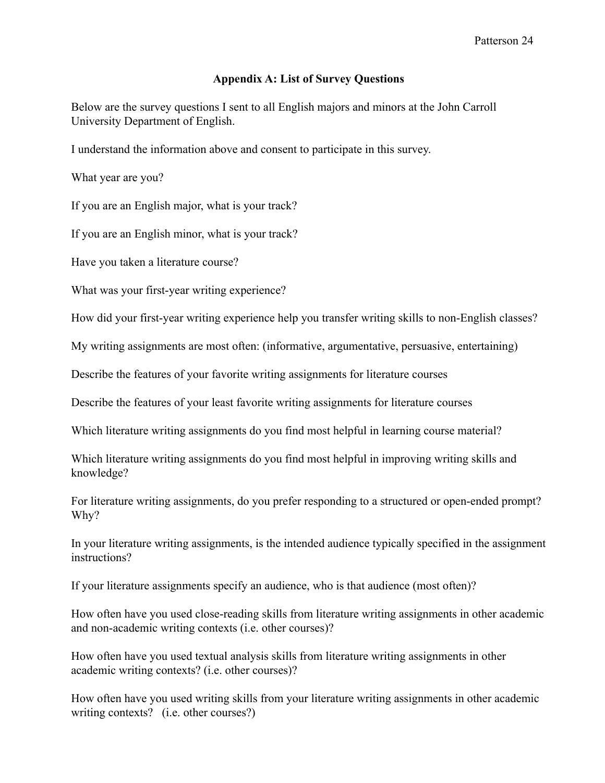## **Appendix A: List of Survey Questions**

Below are the survey questions I sent to all English majors and minors at the John Carroll University Department of English.

I understand the information above and consent to participate in this survey.

What year are you?

If you are an English major, what is your track?

If you are an English minor, what is your track?

Have you taken a literature course?

What was your first-year writing experience?

How did your first-year writing experience help you transfer writing skills to non-English classes?

My writing assignments are most often: (informative, argumentative, persuasive, entertaining)

Describe the features of your favorite writing assignments for literature courses

Describe the features of your least favorite writing assignments for literature courses

Which literature writing assignments do you find most helpful in learning course material?

Which literature writing assignments do you find most helpful in improving writing skills and knowledge?

For literature writing assignments, do you prefer responding to a structured or open-ended prompt? Why?

In your literature writing assignments, is the intended audience typically specified in the assignment instructions?

If your literature assignments specify an audience, who is that audience (most often)?

How often have you used close-reading skills from literature writing assignments in other academic and non-academic writing contexts (i.e. other courses)?

How often have you used textual analysis skills from literature writing assignments in other academic writing contexts? (i.e. other courses)?

How often have you used writing skills from your literature writing assignments in other academic writing contexts? (i.e. other courses?)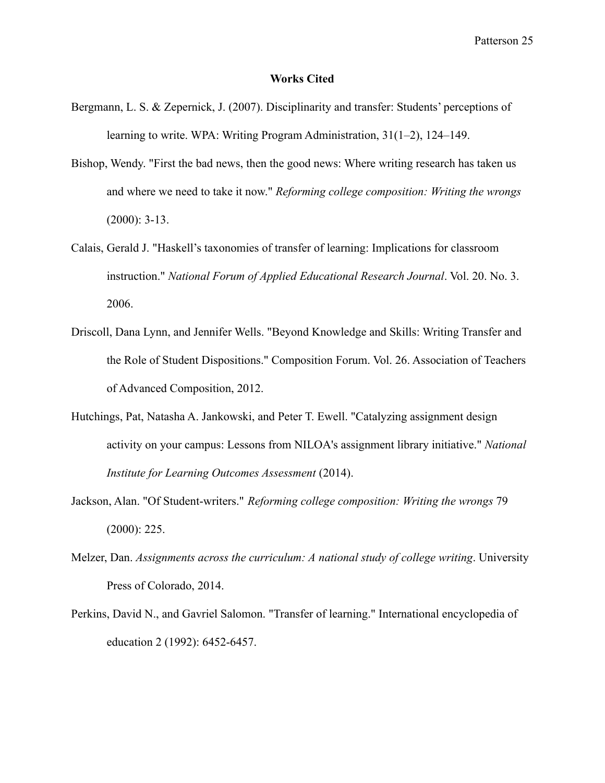#### **Works Cited**

- Bergmann, L. S. & Zepernick, J. (2007). Disciplinarity and transfer: Students' perceptions of learning to write. WPA: Writing Program Administration, 31(1–2), 124–149.
- Bishop, Wendy. "First the bad news, then the good news: Where writing research has taken us and where we need to take it now." *Reforming college composition: Writing the wrongs* (2000): 3-13.
- Calais, Gerald J. "Haskell's taxonomies of transfer of learning: Implications for classroom instruction." *National Forum of Applied Educational Research Journal*. Vol. 20. No. 3. 2006.
- Driscoll, Dana Lynn, and Jennifer Wells. "Beyond Knowledge and Skills: Writing Transfer and the Role of Student Dispositions." Composition Forum. Vol. 26. Association of Teachers of Advanced Composition, 2012.
- Hutchings, Pat, Natasha A. Jankowski, and Peter T. Ewell. "Catalyzing assignment design activity on your campus: Lessons from NILOA's assignment library initiative." *National Institute for Learning Outcomes Assessment* (2014).
- Jackson, Alan. "Of Student-writers." *Reforming college composition: Writing the wrongs* 79 (2000): 225.
- Melzer, Dan. *Assignments across the curriculum: A national study of college writing*. University Press of Colorado, 2014.
- Perkins, David N., and Gavriel Salomon. "Transfer of learning." International encyclopedia of education 2 (1992): 6452-6457.